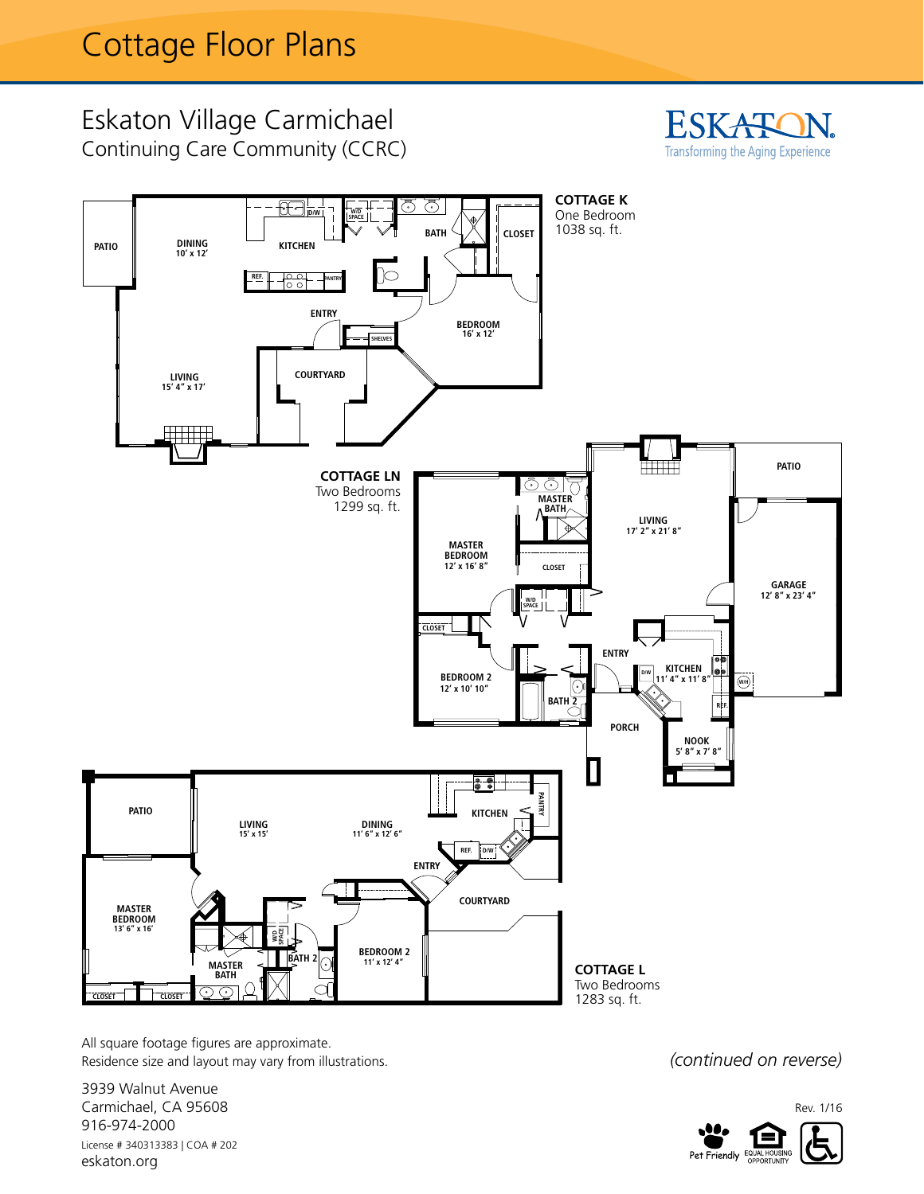## Eskaton Village Carmichael Continuing Care Community (CCRC) **Cottage K**





All square footage figures are approximate. Residence size and layout may vary from illustrations.

3939 Walnut Avenue Carmichael, CA 95608 916-974-2000 License # 340313383 | COA # 202 eskaton.org

*(continued on reverse)*